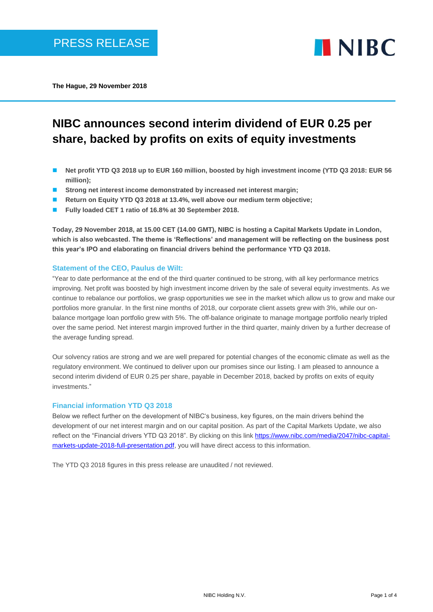

**The Hague, 29 November 2018**

# **NIBC announces second interim dividend of EUR 0.25 per share, backed by profits on exits of equity investments**

- Net profit YTD Q3 2018 up to EUR 160 million, boosted by high investment income (YTD Q3 2018: EUR 56 **million);**
- Strong net interest income demonstrated by increased net interest margin;
- **Return on Equity YTD Q3 2018 at 13.4%, well above our medium term objective:**
- ◼ **Fully loaded CET 1 ratio of 16.8% at 30 September 2018.**

**Today, 29 November 2018, at 15.00 CET (14.00 GMT), NIBC is hosting a Capital Markets Update in London, which is also webcasted. The theme is 'Reflections' and management will be reflecting on the business post this year's IPO and elaborating on financial drivers behind the performance YTD Q3 2018.**

## **Statement of the CEO, Paulus de Wilt:**

"Year to date performance at the end of the third quarter continued to be strong, with all key performance metrics improving. Net profit was boosted by high investment income driven by the sale of several equity investments. As we continue to rebalance our portfolios, we grasp opportunities we see in the market which allow us to grow and make our portfolios more granular. In the first nine months of 2018, our corporate client assets grew with 3%, while our onbalance mortgage loan portfolio grew with 5%. The off-balance originate to manage mortgage portfolio nearly tripled over the same period. Net interest margin improved further in the third quarter, mainly driven by a further decrease of the average funding spread.

Our solvency ratios are strong and we are well prepared for potential changes of the economic climate as well as the regulatory environment. We continued to deliver upon our promises since our listing. I am pleased to announce a second interim dividend of EUR 0.25 per share, payable in December 2018, backed by profits on exits of equity investments."

## **Financial information YTD Q3 2018**

Below we reflect further on the development of NIBC's business, key figures, on the main drivers behind the development of our net interest margin and on our capital position. As part of the Capital Markets Update, we also reflect on the "Financial drivers YTD Q3 2018". By clicking on this link [https://www.nibc.com/media/2047/nibc-capital](https://www.nibc.com/media/2047/nibc-capital-markets-update-2018-full-presentation.pdf)[markets-update-2018-full-presentation.pdf,](https://www.nibc.com/media/2047/nibc-capital-markets-update-2018-full-presentation.pdf) you will have direct access to this information.

The YTD Q3 2018 figures in this press release are unaudited / not reviewed.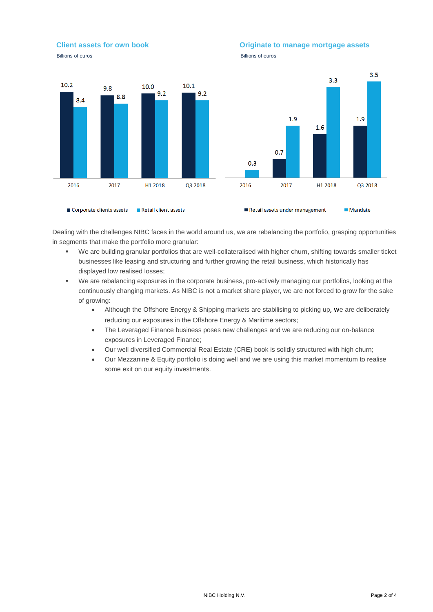### **Client assets for own book Client assets for own book Client assets of the Client assets of the Client Client**



Dealing with the challenges NIBC faces in the world around us, we are rebalancing the portfolio, grasping opportunities in segments that make the portfolio more granular:

- We are building granular portfolios that are well-collateralised with higher churn, shifting towards smaller ticket businesses like leasing and structuring and further growing the retail business, which historically has displayed low realised losses;
- We are rebalancing exposures in the corporate business, pro-actively managing our portfolios, looking at the continuously changing markets. As NIBC is not a market share player, we are not forced to grow for the sake of growing:
	- Although the Offshore Energy & Shipping markets are stabilising to picking up, we are deliberately reducing our exposures in the Offshore Energy & Maritime sectors;
	- The Leveraged Finance business poses new challenges and we are reducing our on-balance exposures in Leveraged Finance;
	- Our well diversified Commercial Real Estate (CRE) book is solidly structured with high churn;
	- Our Mezzanine & Equity portfolio is doing well and we are using this market momentum to realise some exit on our equity investments.

## **Billions of euros** Billions of euros **Billions** of euros **Billions** of euros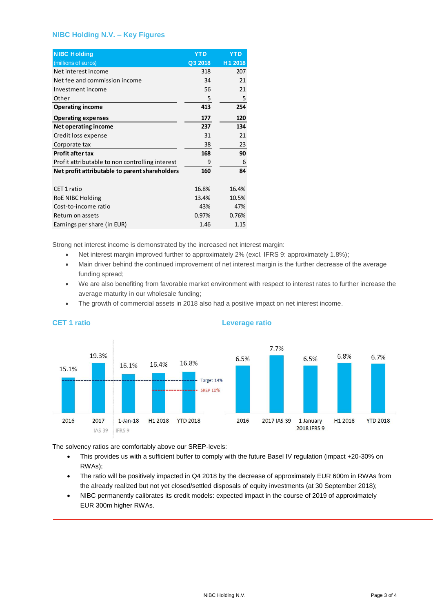## **NIBC Holding N.V. – Key Figures**

| <b>NIBC Holding</b>                             | <b>YTD</b> | YTD     |
|-------------------------------------------------|------------|---------|
| (millions of euros)                             | Q3 2018    | H1 2018 |
| Net interest income                             | 318        | 207     |
| Net fee and commission income                   | 34         | 21      |
| Investment income                               | 56         | 21      |
| Other                                           | 5          | 5       |
| <b>Operating income</b>                         | 413        | 254     |
| <b>Operating expenses</b>                       | 177        | 120     |
| Net operating income                            | 237        | 134     |
| Credit loss expense                             | 31         | 21      |
| Corporate tax                                   | 38         | 23      |
| Profit after tax                                | 168        | 90      |
| Profit attributable to non controlling interest | 9          | 6       |
| Net profit attributable to parent shareholders  | 160        | 84      |
|                                                 |            |         |
| CET 1 ratio                                     | 16.8%      | 16.4%   |
| RoE NIBC Holding                                | 13.4%      | 10.5%   |
| Cost-to-income ratio                            | 43%        | 47%     |
| Return on assets                                | 0.97%      | 0.76%   |
| Earnings per share (in EUR)                     | 1.46       | 1.15    |

Strong net interest income is demonstrated by the increased net interest margin:

- Net interest margin improved further to approximately 2% (excl. IFRS 9: approximately 1.8%);
- Main driver behind the continued improvement of net interest margin is the further decrease of the average funding spread;
- We are also benefiting from favorable market environment with respect to interest rates to further increase the average maturity in our wholesale funding;
- The growth of commercial assets in 2018 also had a positive impact on net interest income.



#### **CET 1 ratio Leverage ratio**

The solvency ratios are comfortably above our SREP-levels:

- This provides us with a sufficient buffer to comply with the future Basel IV regulation (impact +20-30% on RWAs);
- The ratio will be positively impacted in Q4 2018 by the decrease of approximately EUR 600m in RWAs from the already realized but not yet closed/settled disposals of equity investments (at 30 September 2018);
- NIBC permanently calibrates its credit models: expected impact in the course of 2019 of approximately EUR 300m higher RWAs.